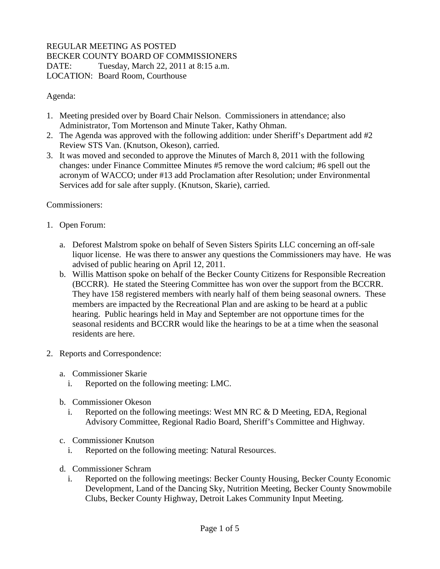## REGULAR MEETING AS POSTED BECKER COUNTY BOARD OF COMMISSIONERS DATE: Tuesday, March 22, 2011 at 8:15 a.m. LOCATION: Board Room, Courthouse

Agenda:

- 1. Meeting presided over by Board Chair Nelson. Commissioners in attendance; also Administrator, Tom Mortenson and Minute Taker, Kathy Ohman.
- 2. The Agenda was approved with the following addition: under Sheriff's Department add #2 Review STS Van. (Knutson, Okeson), carried.
- 3. It was moved and seconded to approve the Minutes of March 8, 2011 with the following changes: under Finance Committee Minutes #5 remove the word calcium; #6 spell out the acronym of WACCO; under #13 add Proclamation after Resolution; under Environmental Services add for sale after supply. (Knutson, Skarie), carried.

Commissioners:

- 1. Open Forum:
	- a. Deforest Malstrom spoke on behalf of Seven Sisters Spirits LLC concerning an off-sale liquor license. He was there to answer any questions the Commissioners may have. He was advised of public hearing on April 12, 2011.
	- b. Willis Mattison spoke on behalf of the Becker County Citizens for Responsible Recreation (BCCRR). He stated the Steering Committee has won over the support from the BCCRR. They have 158 registered members with nearly half of them being seasonal owners. These members are impacted by the Recreational Plan and are asking to be heard at a public hearing. Public hearings held in May and September are not opportune times for the seasonal residents and BCCRR would like the hearings to be at a time when the seasonal residents are here.
- 2. Reports and Correspondence:
	- a. Commissioner Skarie
		- i. Reported on the following meeting: LMC.
	- b. Commissioner Okeson
		- i. Reported on the following meetings: West MN RC  $&$  D Meeting, EDA, Regional Advisory Committee, Regional Radio Board, Sheriff's Committee and Highway.
	- c. Commissioner Knutson
		- i. Reported on the following meeting: Natural Resources.
	- d. Commissioner Schram
		- i. Reported on the following meetings: Becker County Housing, Becker County Economic Development, Land of the Dancing Sky, Nutrition Meeting, Becker County Snowmobile Clubs, Becker County Highway, Detroit Lakes Community Input Meeting.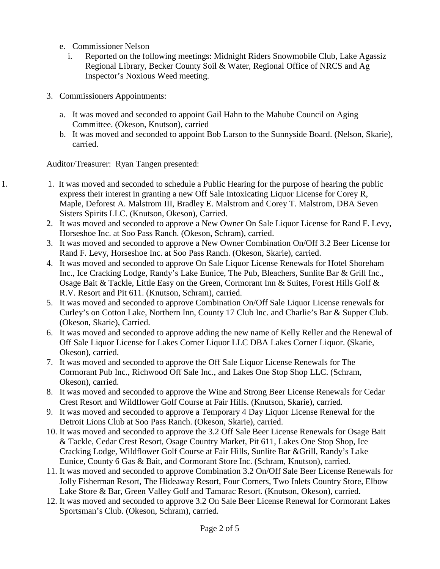- e. Commissioner Nelson
	- i. Reported on the following meetings: Midnight Riders Snowmobile Club, Lake Agassiz Regional Library, Becker County Soil & Water, Regional Office of NRCS and Ag Inspector's Noxious Weed meeting.
- 3. Commissioners Appointments:
	- a. It was moved and seconded to appoint Gail Hahn to the Mahube Council on Aging Committee. (Okeson, Knutson), carried
	- b. It was moved and seconded to appoint Bob Larson to the Sunnyside Board. (Nelson, Skarie), carried.

Auditor/Treasurer: Ryan Tangen presented:

- 1. 1. It was moved and seconded to schedule a Public Hearing for the purpose of hearing the public express their interest in granting a new Off Sale Intoxicating Liquor License for Corey R, Maple, Deforest A. Malstrom III, Bradley E. Malstrom and Corey T. Malstrom, DBA Seven Sisters Spirits LLC. (Knutson, Okeson), Carried.
	- 2. It was moved and seconded to approve a New Owner On Sale Liquor License for Rand F. Levy, Horseshoe Inc. at Soo Pass Ranch. (Okeson, Schram), carried.
	- 3. It was moved and seconded to approve a New Owner Combination On/Off 3.2 Beer License for Rand F. Levy, Horseshoe Inc. at Soo Pass Ranch. (Okeson, Skarie), carried.
	- 4. It was moved and seconded to approve On Sale Liquor License Renewals for Hotel Shoreham Inc., Ice Cracking Lodge, Randy's Lake Eunice, The Pub, Bleachers, Sunlite Bar & Grill Inc., Osage Bait & Tackle, Little Easy on the Green, Cormorant Inn & Suites, Forest Hills Golf & R.V. Resort and Pit 611. (Knutson, Schram), carried.
	- 5. It was moved and seconded to approve Combination On/Off Sale Liquor License renewals for Curley's on Cotton Lake, Northern Inn, County 17 Club Inc. and Charlie's Bar & Supper Club. (Okeson, Skarie), Carried.
	- 6. It was moved and seconded to approve adding the new name of Kelly Reller and the Renewal of Off Sale Liquor License for Lakes Corner Liquor LLC DBA Lakes Corner Liquor. (Skarie, Okeson), carried.
	- 7. It was moved and seconded to approve the Off Sale Liquor License Renewals for The Cormorant Pub Inc., Richwood Off Sale Inc., and Lakes One Stop Shop LLC. (Schram, Okeson), carried.
	- 8. It was moved and seconded to approve the Wine and Strong Beer License Renewals for Cedar Crest Resort and Wildflower Golf Course at Fair Hills. (Knutson, Skarie), carried.
	- 9. It was moved and seconded to approve a Temporary 4 Day Liquor License Renewal for the Detroit Lions Club at Soo Pass Ranch. (Okeson, Skarie), carried.
	- 10. It was moved and seconded to approve the 3.2 Off Sale Beer License Renewals for Osage Bait & Tackle, Cedar Crest Resort, Osage Country Market, Pit 611, Lakes One Stop Shop, Ice Cracking Lodge, Wildflower Golf Course at Fair Hills, Sunlite Bar &Grill, Randy's Lake Eunice, County 6 Gas & Bait, and Cormorant Store Inc. (Schram, Knutson), carried.
	- 11. It was moved and seconded to approve Combination 3.2 On/Off Sale Beer License Renewals for Jolly Fisherman Resort, The Hideaway Resort, Four Corners, Two Inlets Country Store, Elbow Lake Store & Bar, Green Valley Golf and Tamarac Resort. (Knutson, Okeson), carried.
	- 12. It was moved and seconded to approve 3.2 On Sale Beer License Renewal for Cormorant Lakes Sportsman's Club. (Okeson, Schram), carried.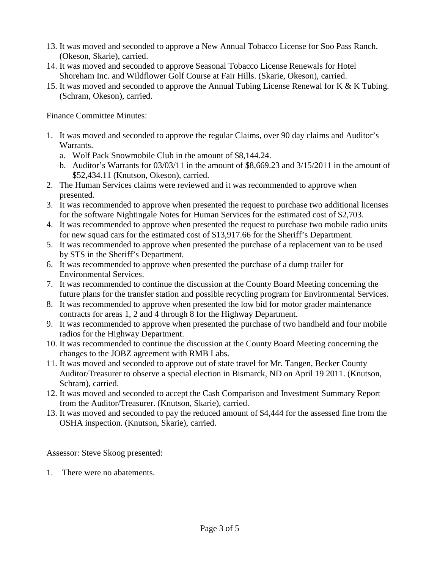- 13. It was moved and seconded to approve a New Annual Tobacco License for Soo Pass Ranch. (Okeson, Skarie), carried.
- 14. It was moved and seconded to approve Seasonal Tobacco License Renewals for Hotel Shoreham Inc. and Wildflower Golf Course at Fair Hills. (Skarie, Okeson), carried.
- 15. It was moved and seconded to approve the Annual Tubing License Renewal for K & K Tubing. (Schram, Okeson), carried.

Finance Committee Minutes:

- 1. It was moved and seconded to approve the regular Claims, over 90 day claims and Auditor's Warrants.
	- a. Wolf Pack Snowmobile Club in the amount of \$8,144.24.
	- b. Auditor's Warrants for 03/03/11 in the amount of \$8,669.23 and 3/15/2011 in the amount of \$52,434.11 (Knutson, Okeson), carried.
- 2. The Human Services claims were reviewed and it was recommended to approve when presented.
- 3. It was recommended to approve when presented the request to purchase two additional licenses for the software Nightingale Notes for Human Services for the estimated cost of \$2,703.
- 4. It was recommended to approve when presented the request to purchase two mobile radio units for new squad cars for the estimated cost of \$13,917.66 for the Sheriff's Department.
- 5. It was recommended to approve when presented the purchase of a replacement van to be used by STS in the Sheriff's Department.
- 6. It was recommended to approve when presented the purchase of a dump trailer for Environmental Services.
- 7. It was recommended to continue the discussion at the County Board Meeting concerning the future plans for the transfer station and possible recycling program for Environmental Services.
- 8. It was recommended to approve when presented the low bid for motor grader maintenance contracts for areas 1, 2 and 4 through 8 for the Highway Department.
- 9. It was recommended to approve when presented the purchase of two handheld and four mobile radios for the Highway Department.
- 10. It was recommended to continue the discussion at the County Board Meeting concerning the changes to the JOBZ agreement with RMB Labs.
- 11. It was moved and seconded to approve out of state travel for Mr. Tangen, Becker County Auditor/Treasurer to observe a special election in Bismarck, ND on April 19 2011. (Knutson, Schram), carried.
- 12. It was moved and seconded to accept the Cash Comparison and Investment Summary Report from the Auditor/Treasurer. (Knutson, Skarie), carried.
- 13. It was moved and seconded to pay the reduced amount of \$4,444 for the assessed fine from the OSHA inspection. (Knutson, Skarie), carried.

Assessor: Steve Skoog presented:

1. There were no abatements.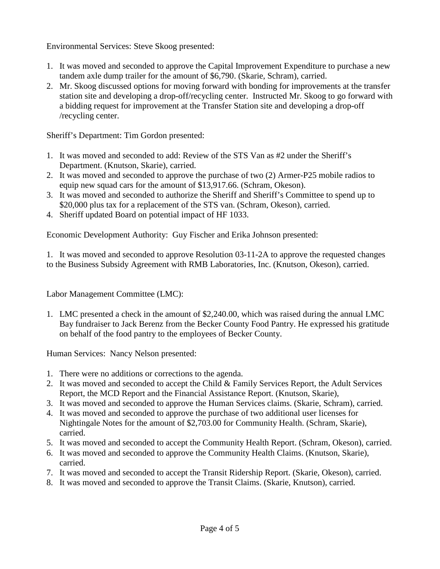Environmental Services: Steve Skoog presented:

- 1. It was moved and seconded to approve the Capital Improvement Expenditure to purchase a new tandem axle dump trailer for the amount of \$6,790. (Skarie, Schram), carried.
- 2. Mr. Skoog discussed options for moving forward with bonding for improvements at the transfer station site and developing a drop-off/recycling center. Instructed Mr. Skoog to go forward with a bidding request for improvement at the Transfer Station site and developing a drop-off /recycling center.

Sheriff's Department: Tim Gordon presented:

- 1. It was moved and seconded to add: Review of the STS Van as #2 under the Sheriff's Department. (Knutson, Skarie), carried.
- 2. It was moved and seconded to approve the purchase of two (2) Armer-P25 mobile radios to equip new squad cars for the amount of \$13,917.66. (Schram, Okeson).
- 3. It was moved and seconded to authorize the Sheriff and Sheriff's Committee to spend up to \$20,000 plus tax for a replacement of the STS van. (Schram, Okeson), carried.
- 4. Sheriff updated Board on potential impact of HF 1033.

Economic Development Authority: Guy Fischer and Erika Johnson presented:

1. It was moved and seconded to approve Resolution 03-11-2A to approve the requested changes to the Business Subsidy Agreement with RMB Laboratories, Inc. (Knutson, Okeson), carried.

Labor Management Committee (LMC):

1. LMC presented a check in the amount of \$2,240.00, which was raised during the annual LMC Bay fundraiser to Jack Berenz from the Becker County Food Pantry. He expressed his gratitude on behalf of the food pantry to the employees of Becker County.

Human Services: Nancy Nelson presented:

- 1. There were no additions or corrections to the agenda.
- 2. It was moved and seconded to accept the Child & Family Services Report, the Adult Services Report, the MCD Report and the Financial Assistance Report. (Knutson, Skarie),
- 3. It was moved and seconded to approve the Human Services claims. (Skarie, Schram), carried.
- 4. It was moved and seconded to approve the purchase of two additional user licenses for Nightingale Notes for the amount of \$2,703.00 for Community Health. (Schram, Skarie), carried.
- 5. It was moved and seconded to accept the Community Health Report. (Schram, Okeson), carried.
- 6. It was moved and seconded to approve the Community Health Claims. (Knutson, Skarie), carried.
- 7. It was moved and seconded to accept the Transit Ridership Report. (Skarie, Okeson), carried.
- 8. It was moved and seconded to approve the Transit Claims. (Skarie, Knutson), carried.